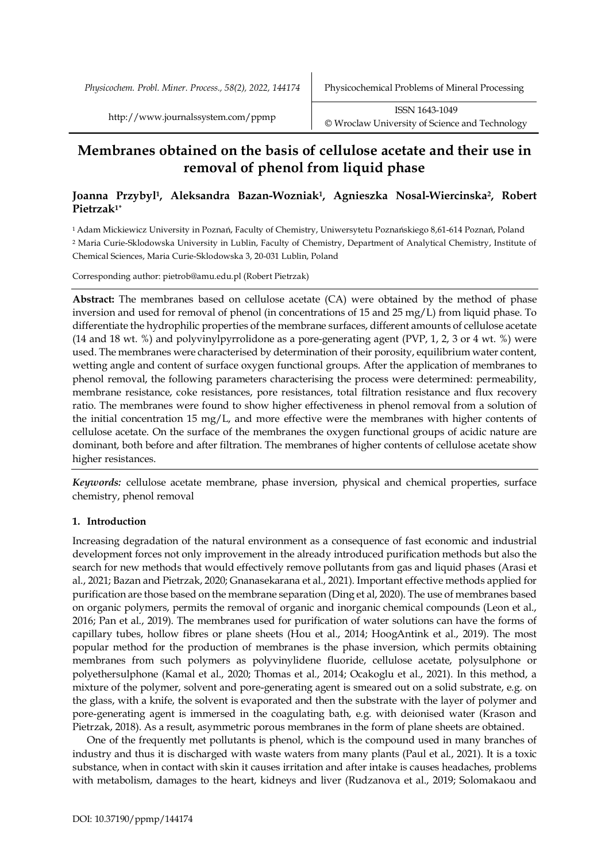*Physicochem. Probl. Miner. Process., 58(2), 2022, 144174* Physicochemical Problems of Mineral Processing

# **Membranes obtained on the basis of cellulose acetate and their use in removal of phenol from liquid phase**

# **Joanna Przybyl1, Aleksandra Bazan-Wozniak1, Agnieszka Nosal-Wiercinska2, Robert Pietrzak1\***

<sup>1</sup> Adam Mickiewicz University in Poznań, Faculty of Chemistry, Uniwersytetu Poznańskiego 8,61-614 Poznań, Poland <sup>2</sup> Maria Curie-Sklodowska University in Lublin, Faculty of Chemistry, Department of Analytical Chemistry, Institute of Chemical Sciences, Maria Curie-Sklodowska 3, 20-031 Lublin, Poland

Corresponding author: pietrob@amu.edu.pl (Robert Pietrzak)

**Abstract:** The membranes based on cellulose acetate (CA) were obtained by the method of phase inversion and used for removal of phenol (in concentrations of 15 and 25 mg/L) from liquid phase. To differentiate the hydrophilic properties of the membrane surfaces, different amounts of cellulose acetate (14 and 18 wt. %) and polyvinylpyrrolidone as a pore-generating agent (PVP, 1, 2, 3 or 4 wt. %) were used. The membranes were characterised by determination of their porosity, equilibrium water content, wetting angle and content of surface oxygen functional groups. After the application of membranes to phenol removal, the following parameters characterising the process were determined: permeability, membrane resistance, coke resistances, pore resistances, total filtration resistance and flux recovery ratio. The membranes were found to show higher effectiveness in phenol removal from a solution of the initial concentration 15 mg/L, and more effective were the membranes with higher contents of cellulose acetate. On the surface of the membranes the oxygen functional groups of acidic nature are dominant, both before and after filtration. The membranes of higher contents of cellulose acetate show higher resistances.

*Keywords:* cellulose acetate membrane, phase inversion, physical and chemical properties, surface chemistry, phenol removal

# **1. Introduction**

Increasing degradation of the natural environment as a consequence of fast economic and industrial development forces not only improvement in the already introduced purification methods but also the search for new methods that would effectively remove pollutants from gas and liquid phases (Arasi et al., 2021; Bazan and Pietrzak, 2020; Gnanasekarana et al., 2021). Important effective methods applied for purification are those based on the membrane separation (Ding et al, 2020). The use of membranes based on organic polymers, permits the removal of organic and inorganic chemical compounds (Leon et al., 2016; Pan et al., 2019). The membranes used for purification of water solutions can have the forms of capillary tubes, hollow fibres or plane sheets (Hou et al., 2014; HoogAntink et al., 2019). The most popular method for the production of membranes is the phase inversion, which permits obtaining membranes from such polymers as polyvinylidene fluoride, cellulose acetate, polysulphone or polyethersulphone (Kamal et al., 2020; Thomas et al., 2014; Ocakoglu et al., 2021). In this method, a mixture of the polymer, solvent and pore-generating agent is smeared out on a solid substrate, e.g. on the glass, with a knife, the solvent is evaporated and then the substrate with the layer of polymer and pore-generating agent is immersed in the coagulating bath, e.g. with deionised water (Krason and Pietrzak, 2018). As a result, asymmetric porous membranes in the form of plane sheets are obtained.

One of the frequently met pollutants is phenol, which is the compound used in many branches of industry and thus it is discharged with waste waters from many plants (Paul et al., 2021). It is a toxic substance, when in contact with skin it causes irritation and after intake is causes headaches, problems with metabolism, damages to the heart, kidneys and liver (Rudzanova et al., 2019; Solomakaou and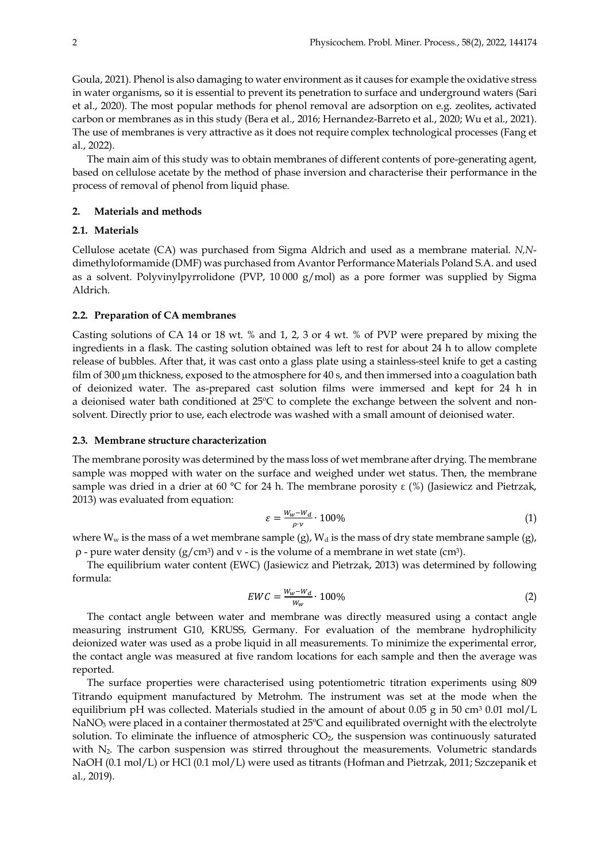Goula, 2021). Phenol is also damaging to water environment as it causes for example the oxidative stress in water organisms, so it is essential to prevent its penetration to surface and underground waters (Sari et al., 2020). The most popular methods for phenol removal are adsorption on e.g. zeolites, activated carbon or membranes as in this study (Bera et al., 2016; Hernandez-Barreto et al., 2020; Wu et al., 2021). The use of membranes is very attractive as it does not require complex technological processes (Fang et al., 2022).

The main aim of this study was to obtain membranes of different contents of pore-generating agent, based on cellulose acetate by the method of phase inversion and characterise their performance in the process of removal of phenol from liquid phase.

#### **2. Materials and methods**

# **2.1. Materials**

Cellulose acetate (CA) was purchased from Sigma Aldrich and used as a membrane material. *N,N*dimethyloformamide (DMF) was purchased from Avantor Performance Materials Poland S.A. and used as a solvent. Polyvinylpyrrolidone (PVP,  $10\,000\,$  g/mol) as a pore former was supplied by Sigma Aldrich.

#### **2.2. Preparation of CA membranes**

Casting solutions of CA 14 or 18 wt. % and 1, 2, 3 or 4 wt. % of PVP were prepared by mixing the ingredients in a flask. The casting solution obtained was left to rest for about 24 h to allow complete release of bubbles. After that, it was cast onto a glass plate using a stainless-steel knife to get a casting film of 300 µm thickness, exposed to the atmosphere for 40 s, and then immersed into a coagulation bath of deionized water. The as-prepared cast solution films were immersed and kept for 24 h in a deionised water bath conditioned at 25ºC to complete the exchange between the solvent and nonsolvent. Directly prior to use, each electrode was washed with a small amount of deionised water.

## **2.3. Membrane structure characterization**

The membrane porosity was determined by the mass loss of wet membrane after drying. The membrane sample was mopped with water on the surface and weighed under wet status. Then, the membrane sample was dried in a drier at 60 °C for 24 h. The membrane porosity  $\varepsilon$  (%) (Jasiewicz and Pietrzak, 2013) was evaluated from equation:

$$
\varepsilon = \frac{W_w - W_d}{\rho \cdot v} \cdot 100\% \tag{1}
$$

where  $W_w$  is the mass of a wet membrane sample (g),  $W_d$  is the mass of dry state membrane sample (g),  $\rho$  - pure water density (g/cm<sup>3</sup>) and v - is the volume of a membrane in wet state (cm<sup>3</sup>).

The equilibrium water content (EWC) (Jasiewicz and Pietrzak, 2013) was determined by following formula:

$$
EWC = \frac{W_w - W_d}{W_w} \cdot 100\% \tag{2}
$$

The contact angle between water and membrane was directly measured using a contact angle measuring instrument G10, KRUSS, Germany. For evaluation of the membrane hydrophilicity deionized water was used as a probe liquid in all measurements. To minimize the experimental error, the contact angle was measured at five random locations for each sample and then the average was reported.

The surface properties were characterised using potentiometric titration experiments using 809 Titrando equipment manufactured by Metrohm. The instrument was set at the mode when the equilibrium pH was collected. Materials studied in the amount of about 0.05 g in 50 cm3 0.01 mol/L NaNO<sub>3</sub> were placed in a container thermostated at 25°C and equilibrated overnight with the electrolyte solution. To eliminate the influence of atmospheric  $CO<sub>2</sub>$ , the suspension was continuously saturated with N<sub>2</sub>. The carbon suspension was stirred throughout the measurements. Volumetric standards NaOH (0.1 mol/L) or HCl (0.1 mol/L) were used as titrants (Hofman and Pietrzak, 2011; Szczepanik et al., 2019).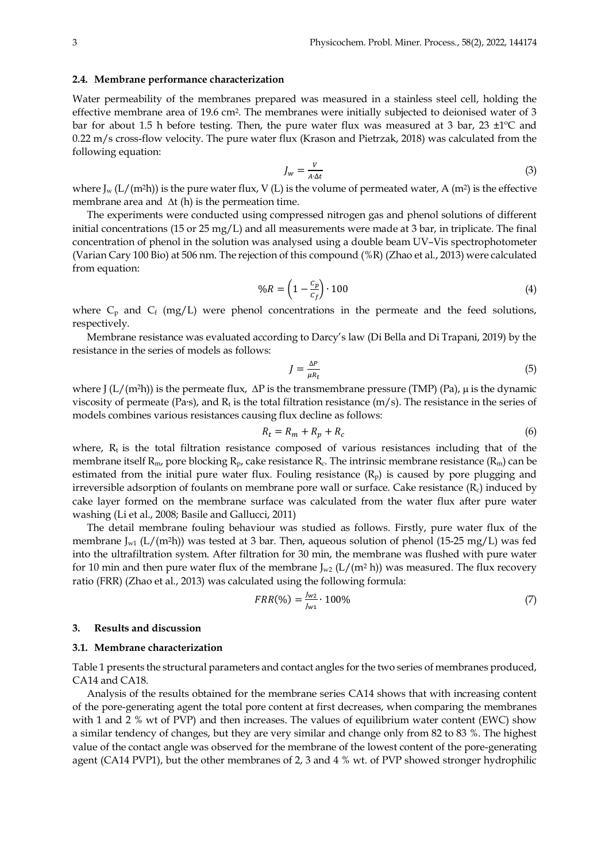#### **2.4. Membrane performance characterization**

Water permeability of the membranes prepared was measured in a stainless steel cell, holding the effective membrane area of 19.6 cm2. The membranes were initially subjected to deionised water of 3 bar for about 1.5 h before testing. Then, the pure water flux was measured at 3 bar, 23 ±1ºC and 0.22 m/s cross-flow velocity. The pure water flux (Krason and Pietrzak, 2018) was calculated from the following equation:

$$
J_w = \frac{V}{A \cdot \Delta t} \tag{3}
$$

where  $J_w$  (L/(m<sup>2</sup>h)) is the pure water flux, V (L) is the volume of permeated water, A (m<sup>2</sup>) is the effective membrane area and  $\Delta t$  (h) is the permeation time.

The experiments were conducted using compressed nitrogen gas and phenol solutions of different initial concentrations (15 or 25 mg/L) and all measurements were made at 3 bar, in triplicate. The final concentration of phenol in the solution was analysed using a double beam UV–Vis spectrophotometer (Varian Cary 100 Bio) at 506 nm. The rejection of this compound (%R) (Zhao et al., 2013) were calculated from equation:

$$
\%R = \left(1 - \frac{c_p}{c_f}\right) \cdot 100\tag{4}
$$

where  $C_p$  and  $C_f$  (mg/L) were phenol concentrations in the permeate and the feed solutions, respectively.

Membrane resistance was evaluated according to Darcy's law (Di Bella and Di Trapani, 2019) by the resistance in the series of models as follows:

$$
J = \frac{\Delta P}{\mu R_t} \tag{5}
$$

where J ( $L/(m^2h)$ ) is the permeate flux,  $\Delta P$  is the transmembrane pressure (TMP) (Pa),  $\mu$  is the dynamic viscosity of permeate (Pa∙s), and Rt is the total filtration resistance (m/s). The resistance in the series of models combines various resistances causing flux decline as follows:

$$
R_t = R_m + R_p + R_c \tag{6}
$$

where,  $R_t$  is the total filtration resistance composed of various resistances including that of the membrane itself  $R_m$ , pore blocking  $R_p$ , cake resistance  $R_c$ . The intrinsic membrane resistance  $(R_m)$  can be estimated from the initial pure water flux. Fouling resistance  $(R_p)$  is caused by pore plugging and irreversible adsorption of foulants on membrane pore wall or surface. Cake resistance  $(R<sub>c</sub>)$  induced by cake layer formed on the membrane surface was calculated from the water flux after pure water washing (Li et al., 2008; Basile and Gallucci, 2011)

The detail membrane fouling behaviour was studied as follows. Firstly, pure water flux of the membrane J<sub>w1</sub> (L/(m<sup>2</sup>h)) was tested at 3 bar. Then, aqueous solution of phenol (15-25 mg/L) was fed into the ultrafiltration system. After filtration for 30 min, the membrane was flushed with pure water for 10 min and then pure water flux of the membrane  $J_{w2}$  (L/(m<sup>2</sup> h)) was measured. The flux recovery ratio (FRR) (Zhao et al., 2013) was calculated using the following formula:

$$
FRR(\%) = \frac{J_{w2}}{J_{w1}} \cdot 100\%
$$
 (7)

#### **3. Results and discussion**

#### **3.1. Membrane characterization**

Table 1 presents the structural parameters and contact angles for the two series of membranes produced, CA14 and CA18.

Analysis of the results obtained for the membrane series CA14 shows that with increasing content of the pore-generating agent the total pore content at first decreases, when comparing the membranes with 1 and 2 % wt of PVP) and then increases. The values of equilibrium water content (EWC) show a similar tendency of changes, but they are very similar and change only from 82 to 83 %. The highest value of the contact angle was observed for the membrane of the lowest content of the pore-generating agent (CA14 PVP1), but the other membranes of 2, 3 and 4 % wt. of PVP showed stronger hydrophilic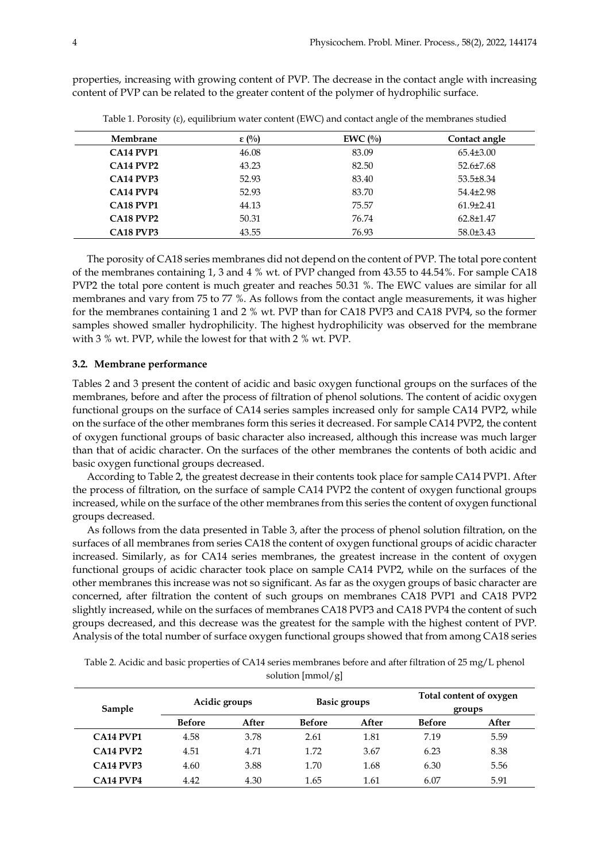properties, increasing with growing content of PVP. The decrease in the contact angle with increasing content of PVP can be related to the greater content of the polymer of hydrophilic surface.

| Membrane                             | $\epsilon$ (%) | EWC $(\%)$ | Contact angle   |
|--------------------------------------|----------------|------------|-----------------|
| CA <sub>14</sub> PVP <sub>1</sub>    | 46.08          | 83.09      | $65.4\pm3.00$   |
| <b>CA14 PVP2</b>                     | 43.23          | 82.50      | $52.6 \pm 7.68$ |
| CA <sub>14</sub> PVP <sub>3</sub>    | 52.93          | 83.40      | $53.5 \pm 8.34$ |
| $C$ A <sub>14</sub> PVP <sub>4</sub> | 52.93          | 83.70      | $54.4\pm2.98$   |
| CA <sub>18</sub> PVP <sub>1</sub>    | 44.13          | 75.57      | $61.9\pm2.41$   |
| <b>CA18 PVP2</b>                     | 50.31          | 76.74      | $62.8 \pm 1.47$ |
| CA18 PVP3                            | 43.55          | 76.93      | $58.0\pm3.43$   |

Table 1. Porosity (ε), equilibrium water content (EWC) and contact angle of the membranes studied

The porosity of CA18 series membranes did not depend on the content of PVP. The total pore content of the membranes containing 1, 3 and 4 % wt. of PVP changed from 43.55 to 44.54%. For sample CA18 PVP2 the total pore content is much greater and reaches 50.31 %. The EWC values are similar for all membranes and vary from 75 to 77 %. As follows from the contact angle measurements, it was higher for the membranes containing 1 and 2 % wt. PVP than for CA18 PVP3 and CA18 PVP4, so the former samples showed smaller hydrophilicity. The highest hydrophilicity was observed for the membrane with 3 % wt. PVP, while the lowest for that with 2 % wt. PVP.

# **3.2. Membrane performance**

Tables 2 and 3 present the content of acidic and basic oxygen functional groups on the surfaces of the membranes, before and after the process of filtration of phenol solutions. The content of acidic oxygen functional groups on the surface of CA14 series samples increased only for sample CA14 PVP2, while on the surface of the other membranes form this series it decreased. For sample CA14 PVP2, the content of oxygen functional groups of basic character also increased, although this increase was much larger than that of acidic character. On the surfaces of the other membranes the contents of both acidic and basic oxygen functional groups decreased.

According to Table 2, the greatest decrease in their contents took place for sample CA14 PVP1. After the process of filtration, on the surface of sample CA14 PVP2 the content of oxygen functional groups increased, while on the surface of the other membranes from this series the content of oxygen functional groups decreased.

As follows from the data presented in Table 3, after the process of phenol solution filtration, on the surfaces of all membranes from series CA18 the content of oxygen functional groups of acidic character increased. Similarly, as for CA14 series membranes, the greatest increase in the content of oxygen functional groups of acidic character took place on sample CA14 PVP2, while on the surfaces of the other membranes this increase was not so significant. As far as the oxygen groups of basic character are concerned, after filtration the content of such groups on membranes CA18 PVP1 and CA18 PVP2 slightly increased, while on the surfaces of membranes CA18 PVP3 and CA18 PVP4 the content of such groups decreased, and this decrease was the greatest for the sample with the highest content of PVP. Analysis of the total number of surface oxygen functional groups showed that from among CA18 series

| Sample                               |               | Acidic groups |               | <b>Basic groups</b> | Total content of oxygen<br>groups |       |
|--------------------------------------|---------------|---------------|---------------|---------------------|-----------------------------------|-------|
|                                      | <b>Before</b> | After         | <b>Before</b> | After               | <b>Before</b>                     | After |
| <b>CA14 PVP1</b>                     | 4.58          | 3.78          | 2.61          | 1.81                | 7.19                              | 5.59  |
| $C$ A <sub>14</sub> PVP <sub>2</sub> | 4.51          | 4.71          | 1.72          | 3.67                | 6.23                              | 8.38  |
| <b>CA14 PVP3</b>                     | 4.60          | 3.88          | 1.70          | 1.68                | 6.30                              | 5.56  |
| <b>CA14 PVP4</b>                     | 4.42          | 4.30          | 1.65          | 1.61                | 6.07                              | 5.91  |

Table 2. Acidic and basic properties of CA14 series membranes before and after filtration of 25 mg/L phenol solution [mmol/g]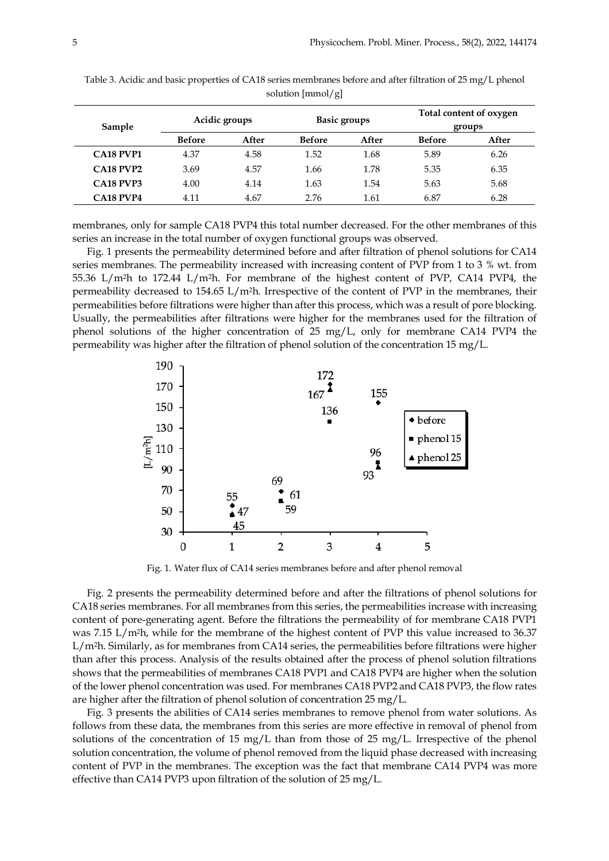| Sample           | Acidic groups |       | <b>Basic groups</b> |       | Total content of oxygen<br>groups |       |
|------------------|---------------|-------|---------------------|-------|-----------------------------------|-------|
|                  | <b>Before</b> | After | <b>Before</b>       | After | <b>Before</b>                     | After |
| <b>CA18 PVP1</b> | 4.37          | 4.58  | 1.52                | 1.68  | 5.89                              | 6.26  |
| <b>CA18 PVP2</b> | 3.69          | 4.57  | 1.66                | 1.78  | 5.35                              | 6.35  |
| <b>CA18 PVP3</b> | 4.00          | 4.14  | 1.63                | 1.54  | 5.63                              | 5.68  |
| <b>CA18 PVP4</b> | 4.11          | 4.67  | 2.76                | 1.61  | 6.87                              | 6.28  |

Table 3. Acidic and basic properties of CA18 series membranes before and after filtration of 25 mg/L phenol solution [mmol/g]

membranes, only for sample CA18 PVP4 this total number decreased. For the other membranes of this series an increase in the total number of oxygen functional groups was observed.

Fig. 1 presents the permeability determined before and after filtration of phenol solutions for CA14 series membranes. The permeability increased with increasing content of PVP from 1 to 3 % wt. from 55.36 L/m2h to 172.44 L/m2h. For membrane of the highest content of PVP, CA14 PVP4, the permeability decreased to 154.65 L/m2h. Irrespective of the content of PVP in the membranes, their permeabilities before filtrations were higher than after this process, which was a result of pore blocking. Usually, the permeabilities after filtrations were higher for the membranes used for the filtration of phenol solutions of the higher concentration of 25 mg/L, only for membrane CA14 PVP4 the permeability was higher after the filtration of phenol solution of the concentration 15 mg/L.



Fig. 1. Water flux of CA14 series membranes before and after phenol removal

Fig. 2 presents the permeability determined before and after the filtrations of phenol solutions for CA18 series membranes. For all membranes from this series, the permeabilities increase with increasing content of pore-generating agent. Before the filtrations the permeability of for membrane CA18 PVP1 was 7.15 L/m<sup>2</sup>h, while for the membrane of the highest content of PVP this value increased to 36.37  $L/m<sup>2</sup>h$ . Similarly, as for membranes from CA14 series, the permeabilities before filtrations were higher than after this process. Analysis of the results obtained after the process of phenol solution filtrations shows that the permeabilities of membranes CA18 PVP1 and CA18 PVP4 are higher when the solution of the lower phenol concentration was used. For membranes CA18 PVP2 and CA18 PVP3, the flow rates are higher after the filtration of phenol solution of concentration 25 mg/L.

Fig. 3 presents the abilities of CA14 series membranes to remove phenol from water solutions. As follows from these data, the membranes from this series are more effective in removal of phenol from solutions of the concentration of 15 mg/L than from those of 25 mg/L. Irrespective of the phenol solution concentration, the volume of phenol removed from the liquid phase decreased with increasing content of PVP in the membranes. The exception was the fact that membrane CA14 PVP4 was more effective than CA14 PVP3 upon filtration of the solution of 25 mg/L.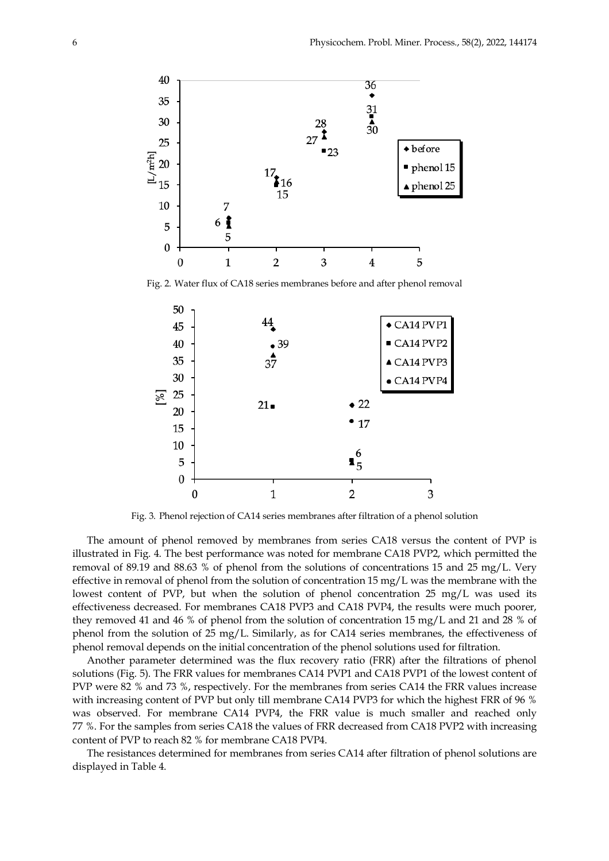

Fig. 2. Water flux of CA18 series membranes before and after phenol removal



Fig. 3. Phenol rejection of CA14 series membranes after filtration of a phenol solution

The amount of phenol removed by membranes from series CA18 versus the content of PVP is illustrated in Fig. 4. The best performance was noted for membrane CA18 PVP2, which permitted the removal of 89.19 and 88.63 % of phenol from the solutions of concentrations 15 and 25 mg/L. Very effective in removal of phenol from the solution of concentration  $15 \text{ mg/L}$  was the membrane with the lowest content of PVP, but when the solution of phenol concentration 25 mg/L was used its effectiveness decreased. For membranes CA18 PVP3 and CA18 PVP4, the results were much poorer, they removed 41 and 46 % of phenol from the solution of concentration 15 mg/L and 21 and 28 % of phenol from the solution of 25 mg/L. Similarly, as for CA14 series membranes, the effectiveness of phenol removal depends on the initial concentration of the phenol solutions used for filtration.

Another parameter determined was the flux recovery ratio (FRR) after the filtrations of phenol solutions (Fig. 5). The FRR values for membranes CA14 PVP1 and CA18 PVP1 of the lowest content of PVP were 82 % and 73 %, respectively. For the membranes from series CA14 the FRR values increase with increasing content of PVP but only till membrane CA14 PVP3 for which the highest FRR of 96 % was observed. For membrane CA14 PVP4, the FRR value is much smaller and reached only 77 %. For the samples from series CA18 the values of FRR decreased from CA18 PVP2 with increasing content of PVP to reach 82 % for membrane CA18 PVP4.

The resistances determined for membranes from series CA14 after filtration of phenol solutions are displayed in Table 4.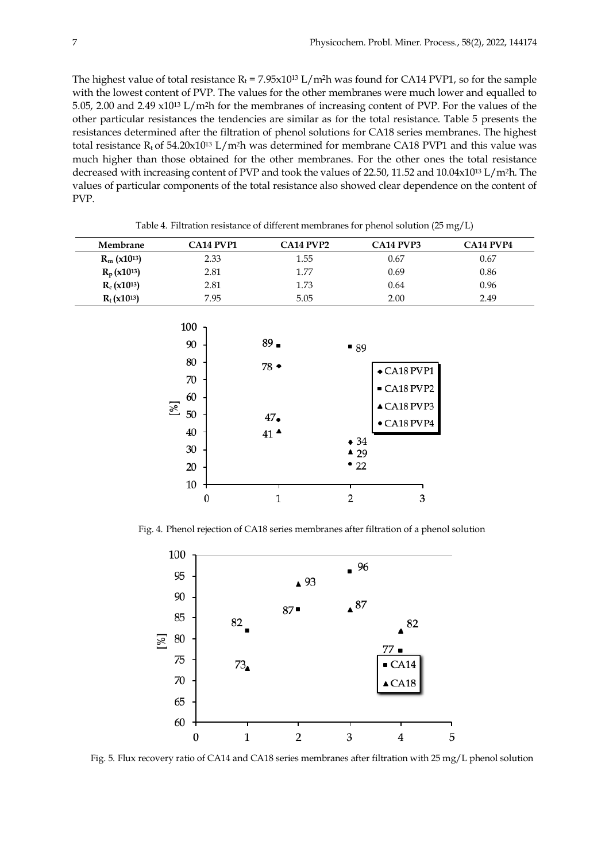The highest value of total resistance  $R_t = 7.95 \times 10^{13}$  L/m<sup>2</sup>h was found for CA14 PVP1, so for the sample with the lowest content of PVP. The values for the other membranes were much lower and equalled to 5.05, 2.00 and 2.49 x1013 L/m2h for the membranes of increasing content of PVP. For the values of the other particular resistances the tendencies are similar as for the total resistance. Table 5 presents the resistances determined after the filtration of phenol solutions for CA18 series membranes. The highest total resistance  $R_t$  of 54.20x10<sup>13</sup> L/m<sup>2</sup>h was determined for membrane CA18 PVP1 and this value was much higher than those obtained for the other membranes. For the other ones the total resistance decreased with increasing content of PVP and took the values of 22.50, 11.52 and 10.04x1013 L/m2h. The values of particular components of the total resistance also showed clear dependence on the content of PVP.

| Membrane                   | CA14 PVP1 | $C$ A14 PVP2 | CA <sub>14</sub> PVP <sub>3</sub> | <b>CA14 PVP4</b> |
|----------------------------|-----------|--------------|-----------------------------------|------------------|
| $R_m$ (x10 <sup>13</sup> ) | 2.33      | 1.55         | 0.67                              | 0.67             |
| $R_p(x10^{13})$            | 2.81      | 1.77         | 0.69                              | 0.86             |
| $R_c(x10^{13})$            | 2.81      | 1.73         | 0.64                              | 0.96             |
| $R_t(x10^{13})$            | 7.95      | 5.05         | 2.00                              | 2.49             |

Table 4. Filtration resistance of different membranes for phenol solution (25 mg/L)



Fig. 4. Phenol rejection of CA18 series membranes after filtration of a phenol solution



Fig. 5. Flux recovery ratio of CA14 and CA18 series membranes after filtration with 25 mg/L phenol solution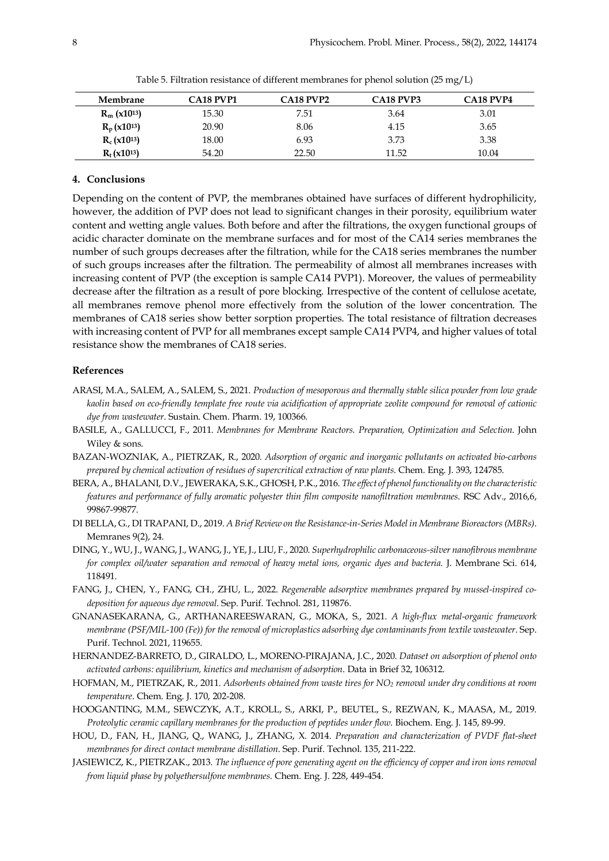| Membrane                   | <b>CA18 PVP1</b> | <b>CA18 PVP2</b> | <b>CA18 PVP3</b> | <b>CA18 PVP4</b> |
|----------------------------|------------------|------------------|------------------|------------------|
| $R_m$ (x10 <sup>13</sup> ) | 15.30            | 7.51             | 3.64             | 3.01             |
| $R_p(x10^{13})$            | 20.90            | 8.06             | 4.15             | 3.65             |
| $R_c(x10^{13})$            | 18.00            | 6.93             | 3.73             | 3.38             |
| $R_t(x10^{13})$            | 54.20            | 22.50            | 11.52            | 10.04            |

Table 5. Filtration resistance of different membranes for phenol solution (25 mg/L)

### **4. Conclusions**

Depending on the content of PVP, the membranes obtained have surfaces of different hydrophilicity, however, the addition of PVP does not lead to significant changes in their porosity, equilibrium water content and wetting angle values. Both before and after the filtrations, the oxygen functional groups of acidic character dominate on the membrane surfaces and for most of the CA14 series membranes the number of such groups decreases after the filtration, while for the CA18 series membranes the number of such groups increases after the filtration. The permeability of almost all membranes increases with increasing content of PVP (the exception is sample CA14 PVP1). Moreover, the values of permeability decrease after the filtration as a result of pore blocking. Irrespective of the content of cellulose acetate, all membranes remove phenol more effectively from the solution of the lower concentration. The membranes of CA18 series show better sorption properties. The total resistance of filtration decreases with increasing content of PVP for all membranes except sample CA14 PVP4, and higher values of total resistance show the membranes of CA18 series.

#### **References**

- ARASI, M.A., SALEM, A., SALEM, S., 2021. *Production of mesoporous and thermally stable silica powder from low grade kaolin based on eco-friendly template free route via acidification of appropriate zeolite compound for removal of cationic dye from wastewater*. Sustain. Chem. Pharm. 19, 100366.
- BASILE, A., GALLUCCI, F., 2011. *Membranes for Membrane Reactors. Preparation, Optimization and Selection*. John Wiley & sons.
- BAZAN-WOZNIAK, A., PIETRZAK, R., 2020. *Adsorption of organic and inorganic pollutants on activated bio-carbons prepared by chemical activation of residues of supercritical extraction of raw plants*. Chem. Eng. J. 393, 124785.
- BERA, A., BHALANI, D.V., JEWERAKA, S.K., GHOSH, P.K., 2016. *The effect of phenol functionality on the characteristic features and performance of fully aromatic polyester thin film composite nanofiltration membranes*. RSC Adv., 2016,6, 99867-99877.
- DI BELLA, G., DI TRAPANI, D., 2019. *A Brief Review on the Resistance-in-Series Model in Membrane Bioreactors (MBRs)*. Memranes 9(2), 24.
- DING, Y., WU, J., WANG, J., WANG, J., YE, J., LIU, F., 2020. *Superhydrophilic carbonaceous-silver nanofibrous membrane for complex oil/water separation and removal of heavy metal ions, organic dyes and bacteria.* J. Membrane Sci. 614, 118491.
- FANG, J., CHEN, Y., FANG, CH., ZHU, L., 2022. *Regenerable adsorptive membranes prepared by mussel-inspired codeposition for aqueous dye removal*. Sep. Purif. Technol. 281, 119876.
- GNANASEKARANA, G., ARTHANAREESWARAN, G., MOKA, S., 2021. *A high-flux metal-organic framework membrane (PSF/MIL-100 (Fe)) for the removal of microplastics adsorbing dye contaminants from textile wastewater*. Sep. Purif. Technol. 2021, 119655.
- HERNANDEZ-BARRETO, D., GIRALDO, L., MORENO-PIRAJANA, J.C., 2020. *Dataset on adsorption of phenol onto activated carbons: equilibrium, kinetics and mechanism of adsorption*. Data in Brief 32, 106312.
- HOFMAN, M., PIETRZAK, R., 2011. *Adsorbents obtained from waste tires for NO2 removal under dry conditions at room temperature*. Chem. Eng. J. 170, 202-208.
- HOOGANTING, M.M., SEWCZYK, A.T., KROLL, S., ARKI, P., BEUTEL, S., REZWAN, K., MAASA, M., 2019. *Proteolytic ceramic capillary membranes for the production of peptides under flow*. Biochem. Eng. J. 145, 89-99.
- HOU, D., FAN, H., JIANG, Q., WANG, J., ZHANG, X. 2014. *Preparation and characterization of PVDF flat-sheet membranes for direct contact membrane distillation*. Sep. Purif. Technol. 135, 211-222.
- JASIEWICZ, K., PIETRZAK., 2013. *The influence of pore generating agent on the efficiency of copper and iron ions removal from liquid phase by polyethersulfone membranes*. Chem. Eng. J. 228, 449-454.